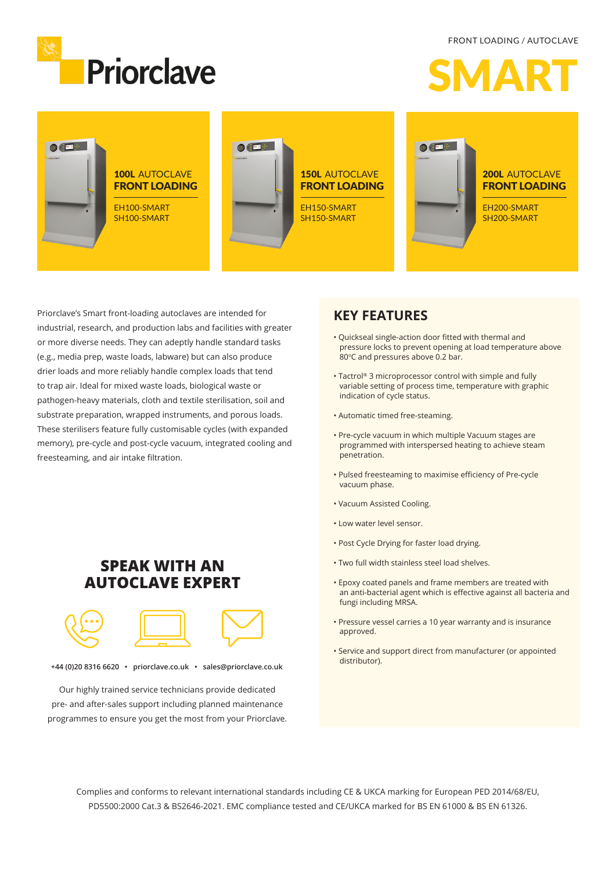FRONT LOADING / AUTOCLAVE







Priorclave's Smart front-loading autoclaves are intended for industrial, research, and production labs and facilities with greater or more diverse needs. They can adeptly handle standard tasks (e.g., media prep, waste loads, labware) but can also produce drier loads and more reliably handle complex loads that tend to trap air. Ideal for mixed waste loads, biological waste or pathogen-heavy materials, cloth and textile sterilisation, soil and substrate preparation, wrapped instruments, and porous loads. These sterilisers feature fully customisable cycles (with expanded memory), pre-cycle and post-cycle vacuum, integrated cooling and freesteaming, and air intake filtration.

#### **SPEAK WITH AN AUTOCLAVE EXPERT**



**+44 (0)20 8316 6620 • priorclave.co.uk • sales@priorclave.co.uk**

Our highly trained service technicians provide dedicated pre- and after-sales support including planned maintenance programmes to ensure you get the most from your Priorclave.

#### **KEY FEATURES**

- Quickseal single-action door fitted with thermal and pressure locks to prevent opening at load temperature above 80°C and pressures above 0.2 bar.
- Tactrol® 3 microprocessor control with simple and fully variable setting of process time, temperature with graphic indication of cycle status.
- Automatic timed free-steaming.
- Pre-cycle vacuum in which multiple Vacuum stages are programmed with interspersed heating to achieve steam penetration.
- Pulsed freesteaming to maximise efficiency of Pre-cycle vacuum phase.
- Vacuum Assisted Cooling.
- Low water level sensor.
- Post Cycle Drying for faster load drying.
- Two full width stainless steel load shelves.
- Epoxy coated panels and frame members are treated with an anti-bacterial agent which is effective against all bacteria and fungi including MRSA.
- Pressure vessel carries a 10 year warranty and is insurance approved.
- Service and support direct from manufacturer (or appointed distributor).

Complies and conforms to relevant international standards including CE & UKCA marking for European PED 2014/68/EU, PD5500:2000 Cat.3 & BS2646-2021. EMC compliance tested and CE/UKCA marked for BS EN 61000 & BS EN 61326.